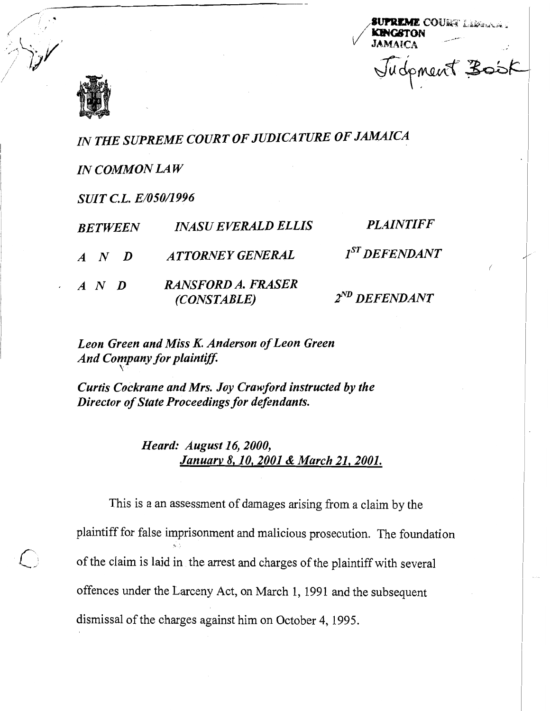



*IN THE SUPREME COURT OF JUDICATURE OF JAMAICA* 

*IN COMMON LAW* 

*SUIT C.L. E/050/1996* <sup>~</sup>

| <b>BETWEEN</b>      | <b>INASU EVERALD ELLIS</b>               | <i><b>PLAINTIFF</b></i> |  |
|---------------------|------------------------------------------|-------------------------|--|
| $A \quad N \quad D$ | ATTORNEY GENERAL                         | $I^{ST}$ DEFENDANT      |  |
| $A \quad N \quad D$ | <b>RANSFORD A. FRASER</b><br>(CONSTABLE) | $2^{ND}$ DEFENDANT      |  |

*Leon Green and Miss K. Anderson of Leon Green And Company for plaintif\$* \

*Curtis Cockrane and Mrs. Joy Crawford instructed by the Director of State Proceedings for defendants.* 

> *Heard: August 16,2000, Januarv 8,10,2001& March 21,2001.*

This is a an assessment of damages arising from a claim by the plaintiff for false imprisonment and malicious prosecution. The foundation of the claim is laid in the arrest and charges of the plaintiff with several offences under the Larceny Act, on March 1, 1991 and the subsequent dismissal of the charges against him on October 4, 1995.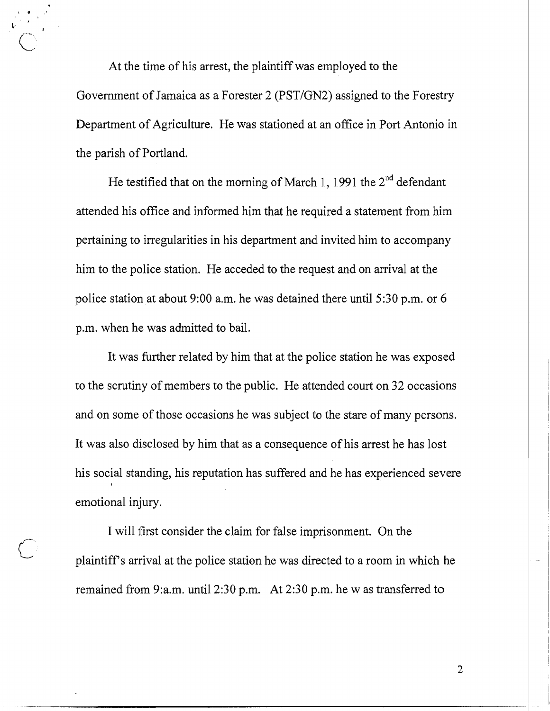At the time of his arrest, the plaintiff was employed to the Government of Jamaica as a Forester 2 (PST/GN2) assigned to the Forestry Department of Agriculture. He was stationed at an office in Port Antonio in the parish of Portland.

He testified that on the morning of March 1, 1991 the  $2<sup>nd</sup>$  defendant attended his office and informed him that he required a statement from him pertaining to irregularities in his department and invited him to accompany him to the police station. He acceded to the request and on arrival at the police station at about 9:00 a.m. he was detained there until 5:30 p.m. or 6 p.m. when he was admitted to bail.

It was further related by him that at the police station he was exposed to the scrutiny of members to the public. He attended court on 32 occasions and on some of those occasions he was subject to the stare of many persons. It was also disclosed by him that as a consequence of his arrest he has lost his social standing, his reputation has suffered and he has experienced severe emotional injury.

I will first consider the claim for false imprisonment. On the plaintiff's arrival at the police station he was directed to a room in which he remained from 9:a.m. until 2:30 p.m. At 2:30 p.m. he w as transferred to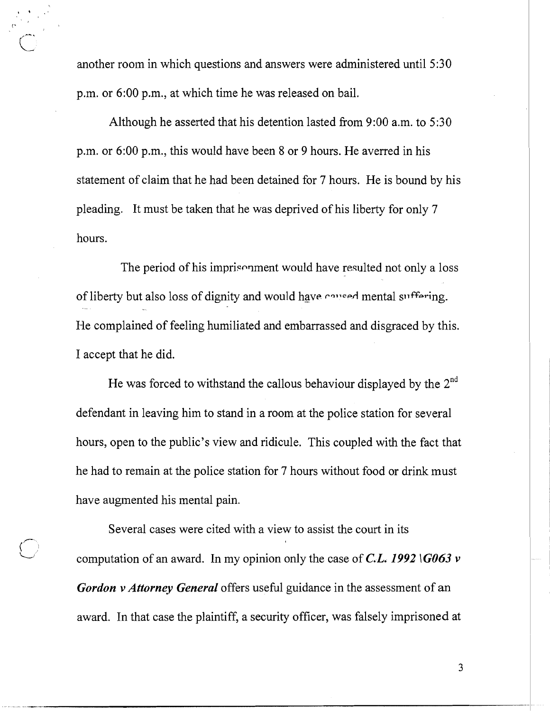another room in which questions and answers were administered until 5:30 p.m. or 6:00 p.m., at which time he was released on bail.

Although he asserted that his detention lasted from 9:00 a.m. to 5:30 p.m. or 6:00 p.m., this would have been 8 or 9 hours. He averred in his statement of claim that he had been detained for 7 hours. He is bound by his pleading. It must be taken that he was deprived of his liberty for only 7 hours.

The period of his imprisonment would have resulted not only a loss of liberty but also loss of dignity and would have caused mental suffering. He complained of feeling humiliated and embarrassed and disgraced by this. I accept that he did.

He was forced to withstand the callous behaviour displayed by the 2<sup>nd</sup> defendant in leaving him to stand in a room at the police station for several hours, open to the public's view and ridicule. This coupled with the fact that he had to remain at the police station for 7 hours without food or drink must have augmented his mental pain.

Several cases were cited with a view to assist the court in its computation of an award. In my opinion only the case of *C.L.* 1992  $\overline{G063}$  v *Gordon v Attorney General* offers useful guidance in the assessment of an award. In that case the plaintiff, a security officer, was falsely imprisoned at

 $\bigcirc$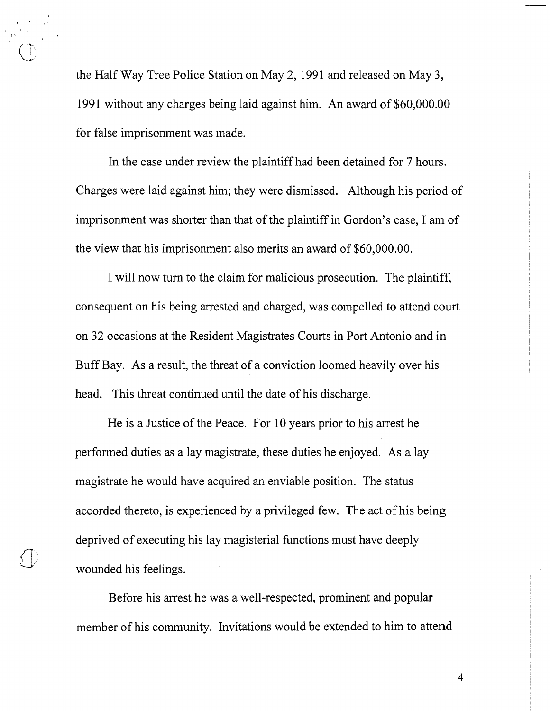the Half Way Tree Police Station on May 2, 1991 and released on May **3,**  1991 without any charges being laid against him. An award of \$60,000.00 for false imprisonment was made.

In the case under review the plaintiff had been detained for 7 hours. Charges were laid against him; they were dismissed. Although his period of imprisonment was shorter than that of the plaintiff in Gordon's case, I am of the view that his imprisonment also merits an award of \$60,000.00.

I will now turn to the claim for malicious prosecution. The plaintiff, consequent on his being arrested and charged, was compelled to attend court on 32 occasions at the Resident Magistrates Courts in Port Antonio and in Buff Bay. As a result, the threat of a conviction loomed heavily over his head. This threat continued until the date of his discharge.

He is a Justice of the Peace. For 10 years prior to his arrest he performed duties as a lay magistrate, these duties he enjoyed. As a lay magistrate he would have acquired an enviable position. The status accorded thereto, is experienced by a privileged few. The act of his being deprived of executing his lay magisterial functions must have deeply **'j/** wounded his feelings.

 $\sqrt{}$ 

Before his arrest he was a well-respected, prominent and popular member of his community. Invitations would be extended to him to attend

 $\overline{4}$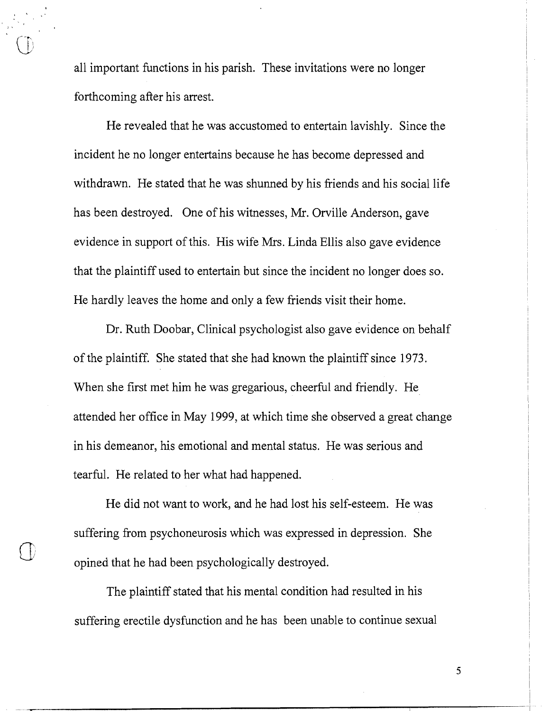all important functions in his parish. These invitations were no longer forthcoming after his arrest.

He revealed that he was accustomed to entertain lavishly. Since the incident he no longer entertains because he has become depressed and withdrawn. He stated that he was shunned by his friends and his social life has been destroyed. One of his witnesses, Mr. Orville Anderson, gave evidence in support of this. His wife Mrs. Linda Ellis also gave evidence that the plaintiff used to entertain but since the incident no longer does so. He hardly leaves the home and only a few friends visit their home.

Dr. Ruth Doobar, Clinical psychologist also gave evidence on behalf of the plaintiff. She stated that she had known the plaintiff since 1973. When she first met him he was gregarious, cheerful and friendly. He attended her office in May 1999, at which time she observed a great change in his demeanor, his emotional and mental status. He was serious and tearful. He related to her what had happened.

He did not want to work, and he had lost his self-esteem. He was suffering from psychoneurosis which was expressed in depression. She opined that he had been psychologically destroyed.

The plaintiff stated that his mental condition had resulted in his suffering erectile dysfunction and he has been unable to continue sexual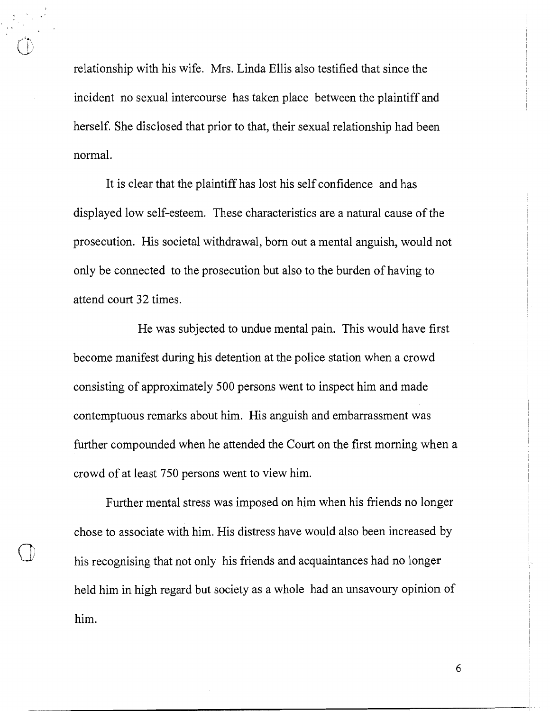relationship with his wife. Mrs. Linda Ellis also testified that since the incident no sexual intercourse has taken place between the plaintiff and herself. She disclosed that prior to that, their sexual relationship had been normal.

It is clear that the plaintiff has lost his self confidence and has displayed low self-esteem. These characteristics are a natural cause of the prosecution. His societal withdrawal, born out a mental anguish, would not only be connected to the prosecution but also to the burden of having to attend court 32 times.

He was subjected to undue mental pain. This would have first become manifest during his detention at the police station when a crowd consisting of approximately 500 persons went to inspect him and made contemptuous remarks about him. His anguish and embarrassment was further compounded when he attended the Court on the first morning when a crowd of at least 750 persons went to view him.

Further mental stress was imposed on him when his friends no longer chose to associate with him. His distress have would also been increased by his recognising that not only his friends and acquaintances had no longer held him in high regard but society as a whole had an unsavoury opinion of him.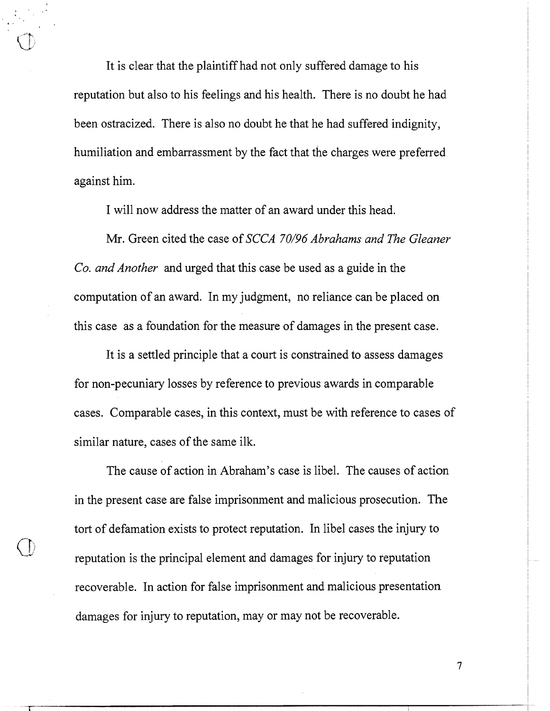It is clear that the plaintiff had not only suffered damage to his reputation but also to his feelings and his health. There is no doubt he had been ostracized. There is also no doubt he that he had suffered indignity, humiliation and embarrassment by the fact that the charges were preferred against him.

I will now address the matter of an award under this head.

Mr. Green cited the case of *SCCA 70/96 Abrahams and The Gleaner Co. and Another* and urged that this case be used as a guide in the computation of an award. In my judgment, no reliance can be placed on this case as a foundation for the measure of damages in the present case.

It is a settled principle that a court is constrained to assess damages for non-pecuniary losses by reference to previous awards in comparable cases. Comparable cases, in this context, must be with reference to cases of similar nature, cases of the same ilk.

The cause of action in Abraham's case is libel. The causes of action in the present case are false imprisonment and malicious prosecution. The tort of defamation exists to protect reputation. In libel cases the injury to reputation is the principal element and damages for injury to reputation recoverable. In action for false imprisonment and malicious presentation damages for injury to reputation, may or may not be recoverable.

 $\tau$ 

,'-')'..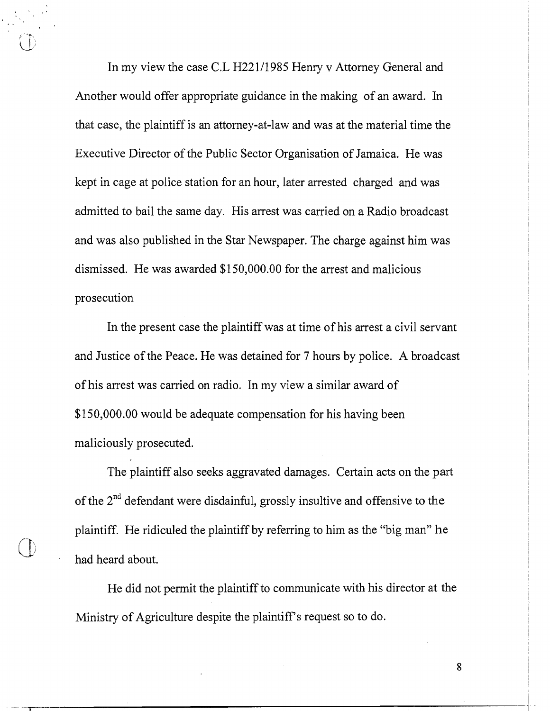In my view the case C.L H221/1985 Henry v Attorney General and Another would offer appropriate guidance in the making of an award. In that case, the plaintiff is an attorney-at-law and was at the material time the Executive Director of the Public Sector Organisation of Jamaica. He was kept in cage at police station for an hour, later arrested charged and was admitted to bail the same day. His arrest was carried on a Radio broadcast and was also published in the Star Newspaper. The charge against him was dismissed. He was awarded \$1 50,000.00 for the arrest and malicious prosecution

In the present case the plaintiff was at time of his arrest a civil servant and Justice of the Peace. He was detained for 7 hours by police. A broadcast of his arrest was carried on radio. In my view a similar award of \$150,000.00 would be adequate compensation for his having been maliciously prosecuted.

The plaintiff also seeks aggravated damages. Certain acts on the part of the  $2<sup>nd</sup>$  defendant were disdainful, grossly insultive and offensive to the plaintiff. He ridiculed the plaintiff by referring to him as the "big man" he had heard about.

Qj **r** 

He did not perrnit the plaintiff to communicate with his director at the Ministry of Agriculture despite the plaintiff's request so to do.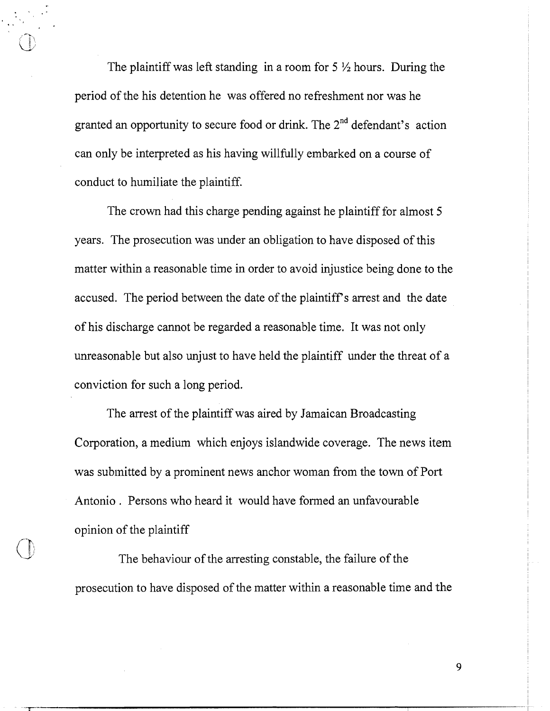The plaintiff was left standing in a room for  $5\frac{1}{2}$  hours. During the period of the his detention he was offered no refreshment nor was he granted an opportunity to secure food or drink. The  $2<sup>nd</sup>$  defendant's action can only be interpreted as his having willfully embarked on a course of conduct to humiliate the plaintiff.

The crown had this charge pending against he plaintiff for almost 5 years. The prosecution was under an obligation to have disposed of this matter within a reasonable time in order to avoid injustice being done to the accused. The period between the date of the plaintiff's arrest and the date of his discharge cannot be regarded a reasonable time. It was not only unreasonable but also unjust to have held the plaintiff under the threat of a conviction for such a long period.

The arrest of the plaintiff was aired by Jamaican Broadcasting Corporation, a medium which enjoys islandwide coverage. The news item was submitted by a prominent news anchor woman from the town of Port Antonio . Persons who heard it would have formed an unfavourable opinion of the plaintiff

The behaviour of the arresting constable, the failure of the prosecution to have disposed of the matter within a reasonable time and the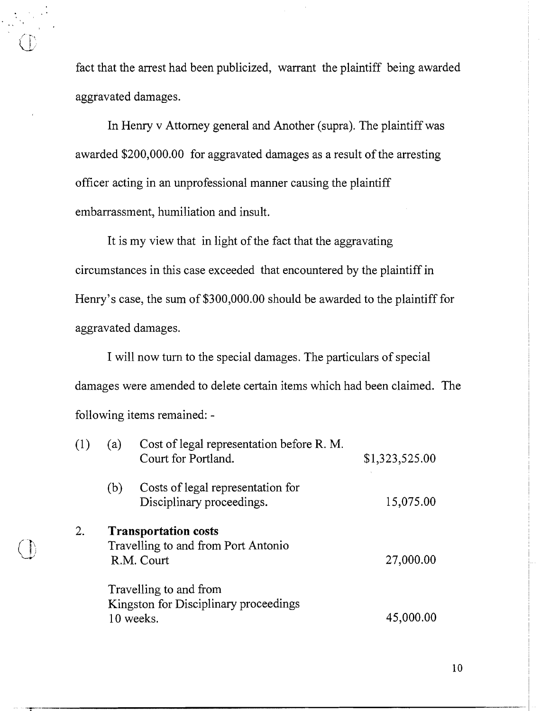fact that the arrest had been publicized, warrant the plaintiff being awarded aggravated damages.

In Henry v Attorney general and Another (supra). The plaintiff was awarded \$200,000.00 for aggravated damages as a result of the arresting officer acting in an unprofessional manner causing the plaintiff embarrassment, humiliation and insult.

It is my view that in light of the fact that the aggravating circumstances in this case exceeded that encountered by the plaintiff in Henry's case, the sum of \$300,000.00 should be awarded to the plaintiff for aggravated damages.

I will now turn to the special damages. The particulars of special damages were amended to delete certain items which had been claimed. The following items remained: -

|  |    | (a) | Cost of legal representation before R. M.<br>Court for Portland.                 | \$1,323,525.00 |
|--|----|-----|----------------------------------------------------------------------------------|----------------|
|  |    | (b) | Costs of legal representation for<br>Disciplinary proceedings.                   | 15,075.00      |
|  | 2. |     | <b>Transportation costs</b><br>Travelling to and from Port Antonio<br>R.M. Court | 27,000.00      |
|  |    |     | Travelling to and from<br>Kingston for Disciplinary proceedings<br>10 weeks.     | 45,000.00      |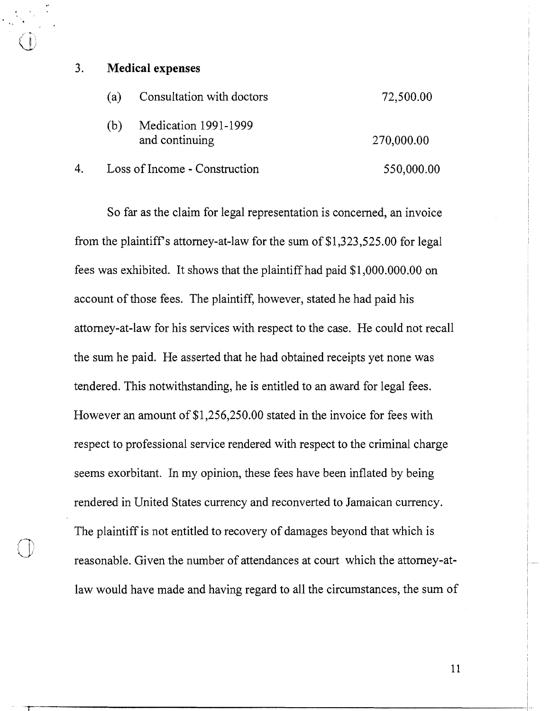## 3. **Medical expenses**

 $\mathbb{R}$ 

|    | (a)                           | Consultation with doctors              | 72,500.00  |
|----|-------------------------------|----------------------------------------|------------|
|    | (b)                           | Medication 1991-1999<br>and continuing | 270,000.00 |
| 4. | Loss of Income - Construction |                                        | 550,000.00 |

So far as the claim for legal representation is concerned, an invoice from the plaintiff's attorney-at-law for the sum of  $$1,323,525.00$  for legal fees was exhibited. It shows that the plaintiff had paid \$1,000.000.00 on account of those fees. The plaintiff, however, stated he had paid his attomey-at-law for his services with respect to the case. He could not recall the sum he paid. He asserted that he had obtained receipts yet none was tendered. This notwithstanding, he is entitled to an award for legal fees. However an amount of \$1,256,250.00 stated in the invoice for fees with respect to professional service rendered with respect to the criminal charge seems exorbitant. In my opinion, these fees have been inflated by being rendered in United States currency and reconverted to Jamaican currency. The plaintiff is not entitled to recovery of damages beyond that which is reasonable. Given the number of attendances at court which the attomey-atlaw would have made and having regard to all the circumstances, the sum of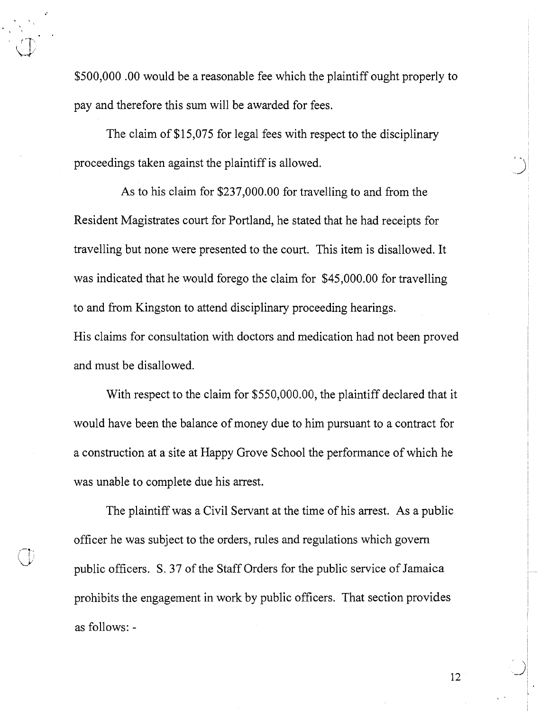\$500,000 .OO would be a reasonable fee which the plaintiff ought properly to pay and therefore this sum will be awarded for fees.

The claim of \$15,075 for legal fees with respect to the disciplinary proceedings taken against the plaintiff is allowed.

As to his claim for \$237,000.00 for travelling to and from the Resident Magistrates court for Portland, he stated that he had receipts for travelling but none were presented to the court. This item is disallowed. It was indicated that he would forego the claim for \$45,000.00 for travelling to and from Kingston to attend disciplinary proceeding hearings.

His claims for consultation with doctors and medication had not been proved and must be disallowed.

With respect to the claim for \$550,000.00, the plaintiff declared that it would have been the balance of money due to him pursuant to a contract for a construction at a site at Happy Grove School the performance of which he was unable to complete due his arrest.

The plaintiff was a Civil Servant at the time of his arrest. As a public officer he was subject to the orders, rules and regulations which govern public officers. S. 37 of the Staff Orders for the public service of Jamaica prohibits the engagement in work by public officers. That section provides as follows: -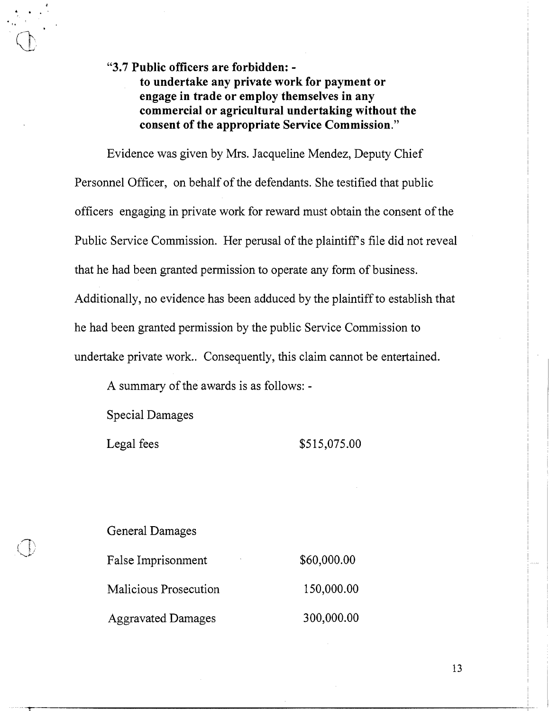**"3.7 Public officers are forbidden: to undertake any private work for payment or engage in trade or employ themselves in any commercial or agricultural undertaking without the consent of the appropriate Service Commission."** 

Evidence was given by Mrs. Jacqueline Mendez, Deputy Chief Personnel Officer, on behalf of the defendants. She testified that public officers engaging in private work for reward must obtain the consent of the Public Service Commission. Her perusal of the plaintiff's file did not reveal that he had been granted permission to operate any form of business. Additionally, no evidence has been adduced by the plaintiff to establish that he had been granted permission by the public Service Commission to undertake private work.. Consequently, this claim cannot be entertained.

A summary of the awards is as follows: -

Special Damages

Legal fees \$515,075.00

General Damages

| False Imprisonment        | \$60,000.00 |
|---------------------------|-------------|
| Malicious Prosecution     | 150,000.00  |
| <b>Aggravated Damages</b> | 300,000.00  |